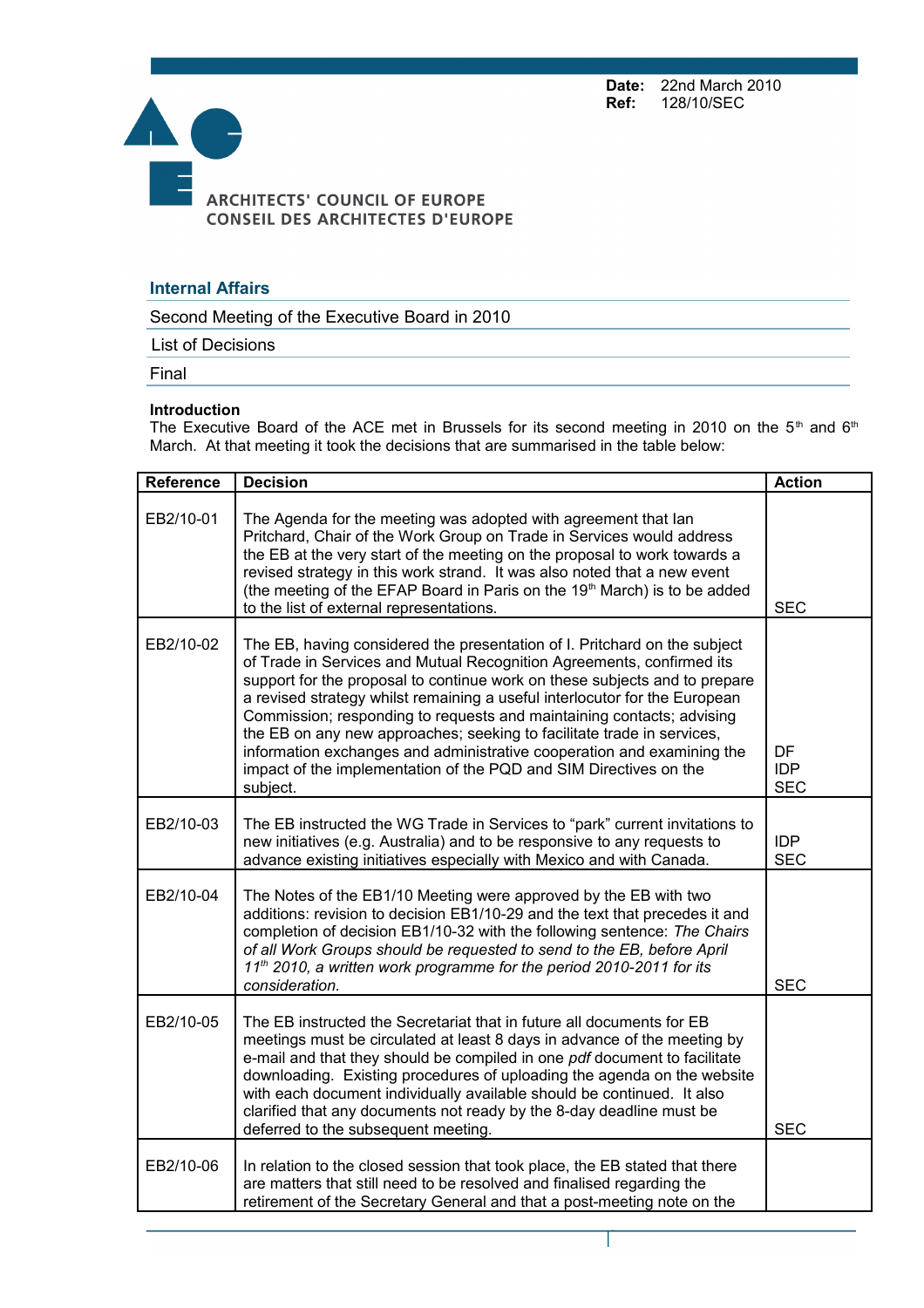**Date:** 22nd March 2010<br>**Ref:** 128/10/SEC **Ref:** 128/10/SEC



## **Internal Affairs**

Second Meeting of the Executive Board in 2010

List of Decisions

Final

## **Introduction**

The Executive Board of the ACE met in Brussels for its second meeting in 2010 on the 5<sup>th</sup> and 6<sup>th</sup> March. At that meeting it took the decisions that are summarised in the table below:

| <b>Reference</b> | <b>Decision</b>                                                                                                                                                                                                                                                                                                                                                                                                                                                                                                                                                                                                              | <b>Action</b>                         |
|------------------|------------------------------------------------------------------------------------------------------------------------------------------------------------------------------------------------------------------------------------------------------------------------------------------------------------------------------------------------------------------------------------------------------------------------------------------------------------------------------------------------------------------------------------------------------------------------------------------------------------------------------|---------------------------------------|
| EB2/10-01        | The Agenda for the meeting was adopted with agreement that lan<br>Pritchard, Chair of the Work Group on Trade in Services would address<br>the EB at the very start of the meeting on the proposal to work towards a<br>revised strategy in this work strand. It was also noted that a new event<br>(the meeting of the EFAP Board in Paris on the 19 <sup>th</sup> March) is to be added<br>to the list of external representations.                                                                                                                                                                                        | <b>SEC</b>                            |
| EB2/10-02        | The EB, having considered the presentation of I. Pritchard on the subject<br>of Trade in Services and Mutual Recognition Agreements, confirmed its<br>support for the proposal to continue work on these subjects and to prepare<br>a revised strategy whilst remaining a useful interlocutor for the European<br>Commission; responding to requests and maintaining contacts; advising<br>the EB on any new approaches; seeking to facilitate trade in services,<br>information exchanges and administrative cooperation and examining the<br>impact of the implementation of the PQD and SIM Directives on the<br>subject. | <b>DF</b><br><b>IDP</b><br><b>SEC</b> |
| EB2/10-03        | The EB instructed the WG Trade in Services to "park" current invitations to<br>new initiatives (e.g. Australia) and to be responsive to any requests to<br>advance existing initiatives especially with Mexico and with Canada.                                                                                                                                                                                                                                                                                                                                                                                              | <b>IDP</b><br><b>SEC</b>              |
| EB2/10-04        | The Notes of the EB1/10 Meeting were approved by the EB with two<br>additions: revision to decision EB1/10-29 and the text that precedes it and<br>completion of decision EB1/10-32 with the following sentence: The Chairs<br>of all Work Groups should be requested to send to the EB, before April<br>11 <sup>th</sup> 2010, a written work programme for the period 2010-2011 for its<br>consideration.                                                                                                                                                                                                                  | <b>SEC</b>                            |
| EB2/10-05        | The EB instructed the Secretariat that in future all documents for EB<br>meetings must be circulated at least 8 days in advance of the meeting by<br>e-mail and that they should be compiled in one pdf document to facilitate<br>downloading. Existing procedures of uploading the agenda on the website<br>with each document individually available should be continued. It also<br>clarified that any documents not ready by the 8-day deadline must be<br>deferred to the subsequent meeting.                                                                                                                           | <b>SEC</b>                            |
| EB2/10-06        | In relation to the closed session that took place, the EB stated that there<br>are matters that still need to be resolved and finalised regarding the<br>retirement of the Secretary General and that a post-meeting note on the                                                                                                                                                                                                                                                                                                                                                                                             |                                       |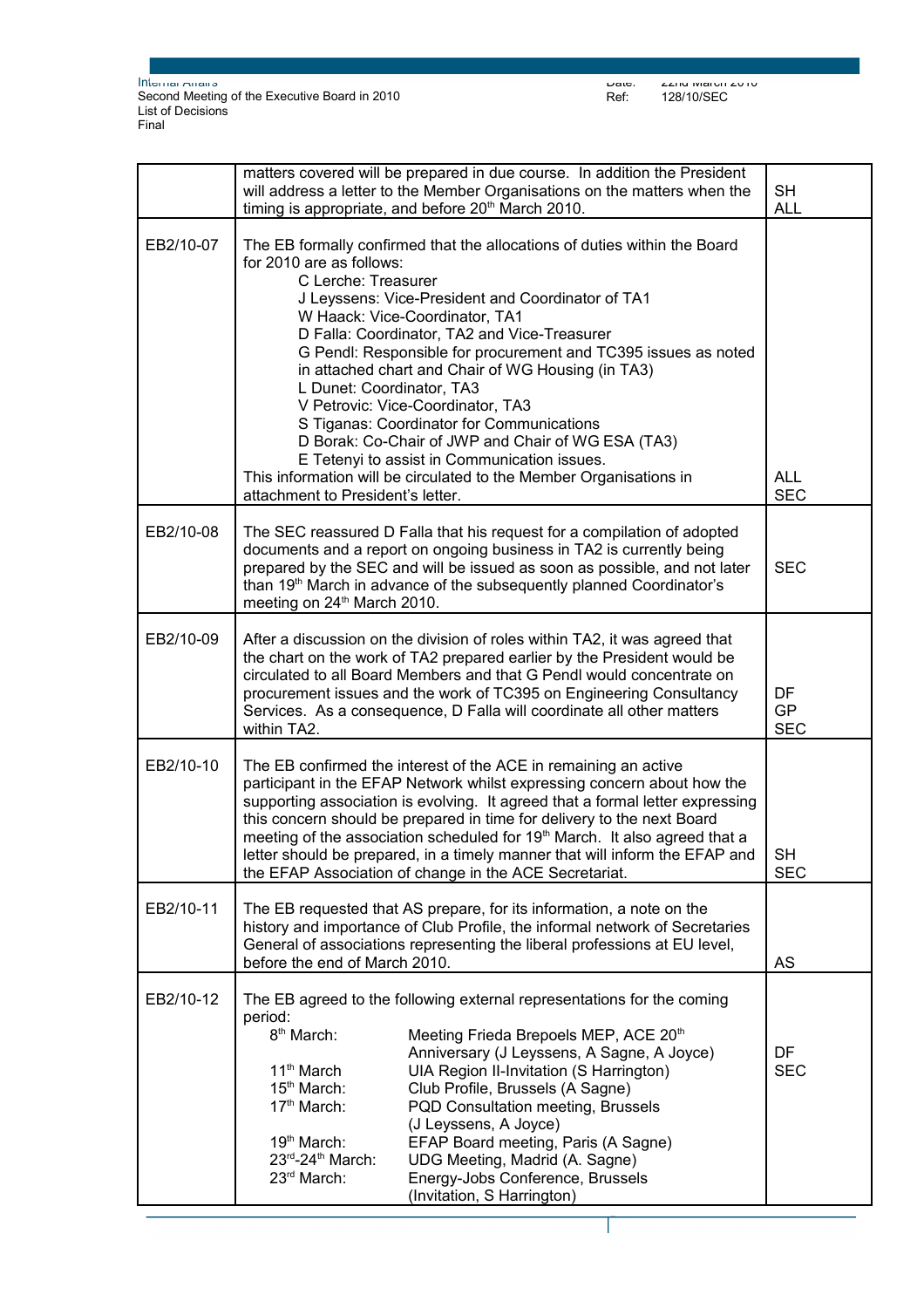|           | matters covered will be prepared in due course. In addition the President<br>will address a letter to the Member Organisations on the matters when the<br>timing is appropriate, and before 20 <sup>th</sup> March 2010.                                                                                                                                                                                                                                                                                                                                                                                                                                                               | <b>SH</b><br><b>ALL</b>       |  |
|-----------|----------------------------------------------------------------------------------------------------------------------------------------------------------------------------------------------------------------------------------------------------------------------------------------------------------------------------------------------------------------------------------------------------------------------------------------------------------------------------------------------------------------------------------------------------------------------------------------------------------------------------------------------------------------------------------------|-------------------------------|--|
| EB2/10-07 | The EB formally confirmed that the allocations of duties within the Board<br>for 2010 are as follows:<br>C Lerche: Treasurer<br>J Leyssens: Vice-President and Coordinator of TA1<br>W Haack: Vice-Coordinator, TA1<br>D Falla: Coordinator, TA2 and Vice-Treasurer<br>G Pendl: Responsible for procurement and TC395 issues as noted<br>in attached chart and Chair of WG Housing (in TA3)<br>L Dunet: Coordinator, TA3<br>V Petrovic: Vice-Coordinator, TA3<br>S Tiganas: Coordinator for Communications<br>D Borak: Co-Chair of JWP and Chair of WG ESA (TA3)<br>E Tetenyi to assist in Communication issues.<br>This information will be circulated to the Member Organisations in | <b>ALL</b>                    |  |
|           | attachment to President's letter.                                                                                                                                                                                                                                                                                                                                                                                                                                                                                                                                                                                                                                                      | <b>SEC</b>                    |  |
| EB2/10-08 | The SEC reassured D Falla that his request for a compilation of adopted<br>documents and a report on ongoing business in TA2 is currently being<br>prepared by the SEC and will be issued as soon as possible, and not later<br>than 19 <sup>th</sup> March in advance of the subsequently planned Coordinator's<br>meeting on 24 <sup>th</sup> March 2010.                                                                                                                                                                                                                                                                                                                            | <b>SEC</b>                    |  |
| EB2/10-09 | After a discussion on the division of roles within TA2, it was agreed that<br>the chart on the work of TA2 prepared earlier by the President would be<br>circulated to all Board Members and that G Pendl would concentrate on<br>procurement issues and the work of TC395 on Engineering Consultancy<br>Services. As a consequence, D Falla will coordinate all other matters<br>within TA2.                                                                                                                                                                                                                                                                                          | DF<br><b>GP</b><br><b>SEC</b> |  |
| EB2/10-10 | The EB confirmed the interest of the ACE in remaining an active<br>participant in the EFAP Network whilst expressing concern about how the<br>supporting association is evolving. It agreed that a formal letter expressing<br>this concern should be prepared in time for delivery to the next Board<br>meeting of the association scheduled for 19 <sup>th</sup> March. It also agreed that a<br>letter should be prepared, in a timely manner that will inform the EFAP and<br>the EFAP Association of change in the ACE Secretariat.                                                                                                                                               | SH.<br><b>SEC</b>             |  |
| EB2/10-11 | The EB requested that AS prepare, for its information, a note on the<br>history and importance of Club Profile, the informal network of Secretaries<br>General of associations representing the liberal professions at EU level,<br>before the end of March 2010.<br>AS                                                                                                                                                                                                                                                                                                                                                                                                                |                               |  |
| EB2/10-12 | The EB agreed to the following external representations for the coming<br>period:<br>8 <sup>th</sup> March:<br>Meeting Frieda Brepoels MEP, ACE 20 <sup>th</sup><br>Anniversary (J Leyssens, A Sagne, A Joyce)<br>11 <sup>th</sup> March<br>UIA Region II-Invitation (S Harrington)<br>15 <sup>th</sup> March:<br>Club Profile, Brussels (A Sagne)<br>17th March:<br>PQD Consultation meeting, Brussels<br>(J Leyssens, A Joyce)<br>EFAP Board meeting, Paris (A Sagne)<br>19 <sup>th</sup> March:<br>23rd-24th March:<br>UDG Meeting, Madrid (A. Sagne)<br>23rd March:<br>Energy-Jobs Conference, Brussels<br>(Invitation, S Harrington)                                              | DF<br><b>SEC</b>              |  |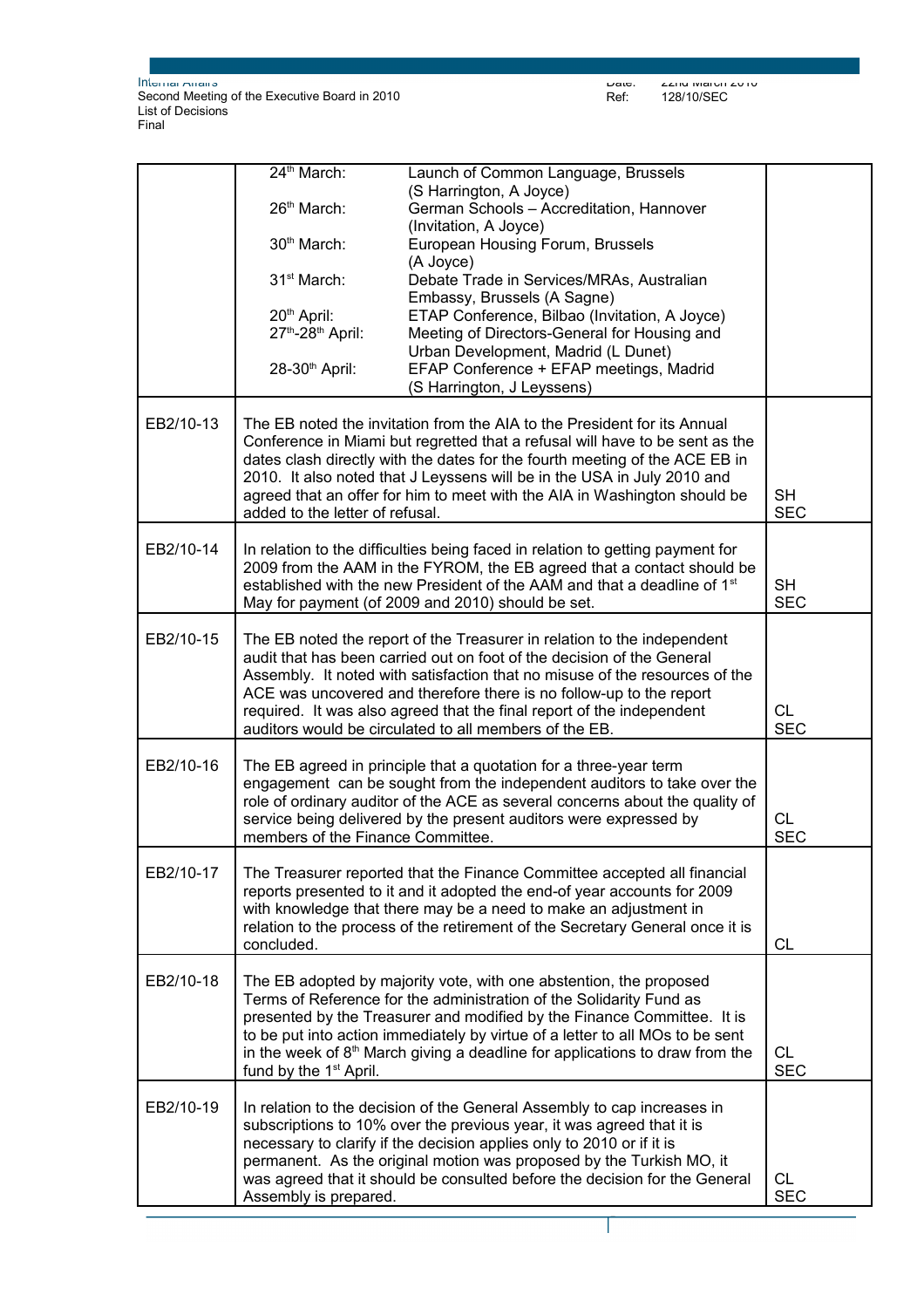$\Gamma$ 

Date: 22nd March 2010 Ref: 128/10/SEC

|           | 24 <sup>th</sup> March:                                                      | Launch of Common Language, Brussels                                                                                                                  |                         |
|-----------|------------------------------------------------------------------------------|------------------------------------------------------------------------------------------------------------------------------------------------------|-------------------------|
|           | 26 <sup>th</sup> March:                                                      | (S Harrington, A Joyce)<br>German Schools - Accreditation, Hannover                                                                                  |                         |
|           |                                                                              | (Invitation, A Joyce)                                                                                                                                |                         |
|           | 30 <sup>th</sup> March:                                                      | European Housing Forum, Brussels                                                                                                                     |                         |
|           |                                                                              | (A Joyce)                                                                                                                                            |                         |
|           | 31 <sup>st</sup> March:                                                      | Debate Trade in Services/MRAs, Australian                                                                                                            |                         |
|           |                                                                              | Embassy, Brussels (A Sagne)                                                                                                                          |                         |
|           | 20 <sup>th</sup> April:                                                      | ETAP Conference, Bilbao (Invitation, A Joyce)                                                                                                        |                         |
|           | 27th-28th April:                                                             | Meeting of Directors-General for Housing and                                                                                                         |                         |
|           |                                                                              | Urban Development, Madrid (L Dunet)                                                                                                                  |                         |
|           | 28-30 <sup>th</sup> April:                                                   | EFAP Conference + EFAP meetings, Madrid<br>(S Harrington, J Leyssens)                                                                                |                         |
|           |                                                                              |                                                                                                                                                      |                         |
| EB2/10-13 |                                                                              | The EB noted the invitation from the AIA to the President for its Annual                                                                             |                         |
|           | Conference in Miami but regretted that a refusal will have to be sent as the |                                                                                                                                                      |                         |
|           |                                                                              | dates clash directly with the dates for the fourth meeting of the ACE EB in                                                                          |                         |
|           |                                                                              | 2010. It also noted that J Leyssens will be in the USA in July 2010 and<br>agreed that an offer for him to meet with the AIA in Washington should be | <b>SH</b>               |
|           | added to the letter of refusal.                                              |                                                                                                                                                      | <b>SEC</b>              |
|           |                                                                              |                                                                                                                                                      |                         |
| EB2/10-14 |                                                                              | In relation to the difficulties being faced in relation to getting payment for                                                                       |                         |
|           |                                                                              | 2009 from the AAM in the FYROM, the EB agreed that a contact should be                                                                               |                         |
|           |                                                                              | established with the new President of the AAM and that a deadline of 1 <sup>st</sup><br>May for payment (of 2009 and 2010) should be set.            | <b>SH</b><br><b>SEC</b> |
|           |                                                                              |                                                                                                                                                      |                         |
| EB2/10-15 |                                                                              | The EB noted the report of the Treasurer in relation to the independent                                                                              |                         |
|           |                                                                              | audit that has been carried out on foot of the decision of the General                                                                               |                         |
|           |                                                                              | Assembly. It noted with satisfaction that no misuse of the resources of the                                                                          |                         |
|           |                                                                              | ACE was uncovered and therefore there is no follow-up to the report                                                                                  |                         |
|           |                                                                              | required. It was also agreed that the final report of the independent                                                                                | <b>CL</b>               |
|           |                                                                              | auditors would be circulated to all members of the EB.                                                                                               | <b>SEC</b>              |
| EB2/10-16 |                                                                              | The EB agreed in principle that a quotation for a three-year term                                                                                    |                         |
|           |                                                                              | engagement can be sought from the independent auditors to take over the                                                                              |                         |
|           |                                                                              | role of ordinary auditor of the ACE as several concerns about the quality of                                                                         |                         |
|           |                                                                              | service being delivered by the present auditors were expressed by                                                                                    | <b>CL</b>               |
|           | members of the Finance Committee.                                            |                                                                                                                                                      | <b>SEC</b>              |
| EB2/10-17 |                                                                              | The Treasurer reported that the Finance Committee accepted all financial                                                                             |                         |
|           |                                                                              | reports presented to it and it adopted the end-of year accounts for 2009                                                                             |                         |
|           |                                                                              | with knowledge that there may be a need to make an adjustment in                                                                                     |                         |
|           |                                                                              | relation to the process of the retirement of the Secretary General once it is                                                                        |                         |
|           | concluded.                                                                   |                                                                                                                                                      | <b>CL</b>               |
|           |                                                                              |                                                                                                                                                      |                         |
| EB2/10-18 |                                                                              | The EB adopted by majority vote, with one abstention, the proposed                                                                                   |                         |
|           |                                                                              | Terms of Reference for the administration of the Solidarity Fund as<br>presented by the Treasurer and modified by the Finance Committee. It is       |                         |
|           |                                                                              | to be put into action immediately by virtue of a letter to all MOs to be sent                                                                        |                         |
|           |                                                                              | in the week of $8th$ March giving a deadline for applications to draw from the                                                                       | <b>CL</b>               |
|           | fund by the 1 <sup>st</sup> April.                                           |                                                                                                                                                      | <b>SEC</b>              |
|           |                                                                              |                                                                                                                                                      |                         |
| EB2/10-19 |                                                                              | In relation to the decision of the General Assembly to cap increases in<br>subscriptions to 10% over the previous year, it was agreed that it is     |                         |
|           |                                                                              | necessary to clarify if the decision applies only to 2010 or if it is                                                                                |                         |
|           |                                                                              | permanent. As the original motion was proposed by the Turkish MO, it                                                                                 |                         |
|           |                                                                              | was agreed that it should be consulted before the decision for the General                                                                           | CL.                     |
|           | Assembly is prepared.                                                        |                                                                                                                                                      | <b>SEC</b>              |

Page 3 sur 5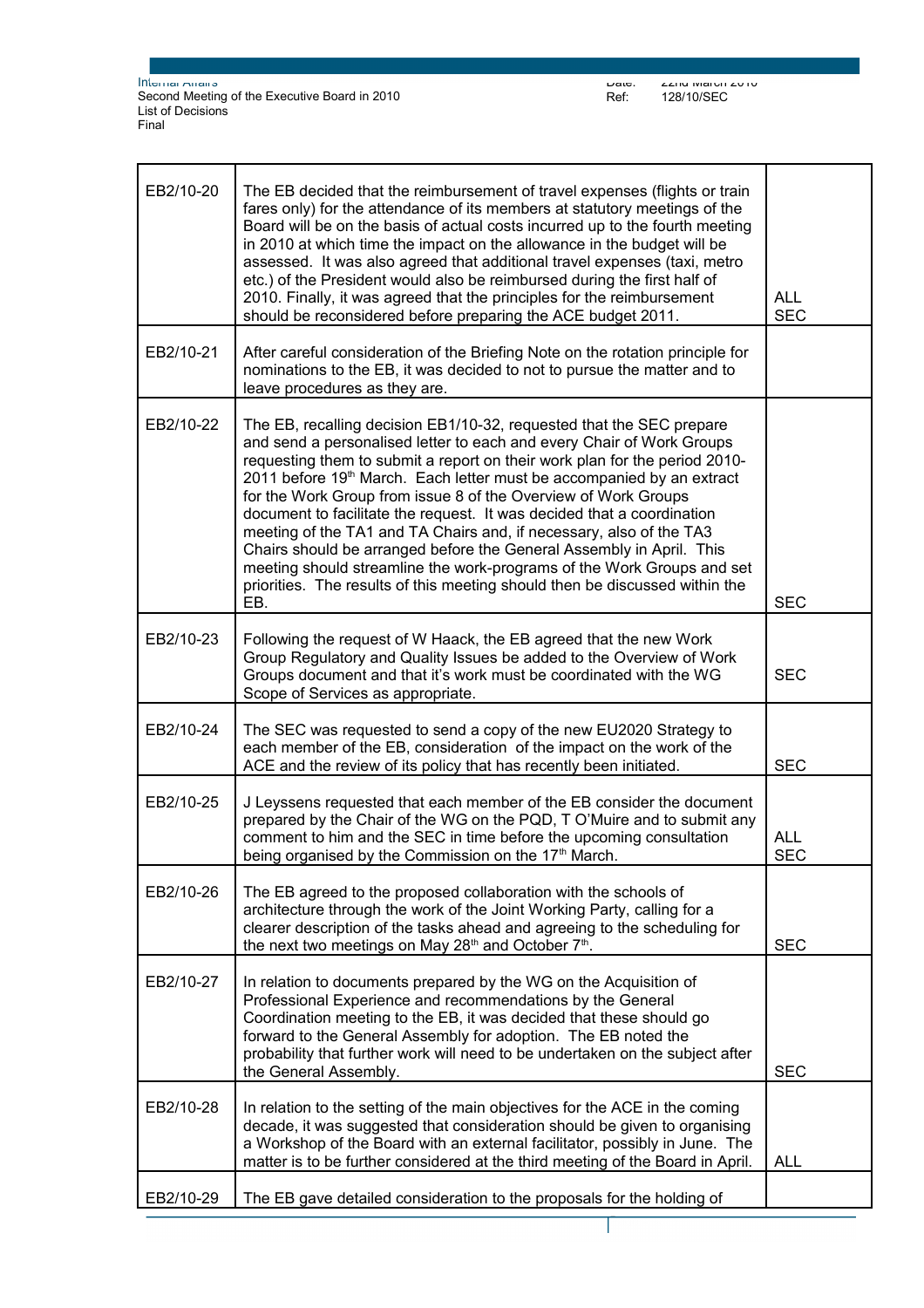| EB2/10-20 | The EB decided that the reimbursement of travel expenses (flights or train<br>fares only) for the attendance of its members at statutory meetings of the<br>Board will be on the basis of actual costs incurred up to the fourth meeting<br>in 2010 at which time the impact on the allowance in the budget will be<br>assessed. It was also agreed that additional travel expenses (taxi, metro<br>etc.) of the President would also be reimbursed during the first half of<br>2010. Finally, it was agreed that the principles for the reimbursement<br>should be reconsidered before preparing the ACE budget 2011.                                                                                                                                          | <b>ALL</b><br><b>SEC</b> |
|-----------|-----------------------------------------------------------------------------------------------------------------------------------------------------------------------------------------------------------------------------------------------------------------------------------------------------------------------------------------------------------------------------------------------------------------------------------------------------------------------------------------------------------------------------------------------------------------------------------------------------------------------------------------------------------------------------------------------------------------------------------------------------------------|--------------------------|
| EB2/10-21 | After careful consideration of the Briefing Note on the rotation principle for<br>nominations to the EB, it was decided to not to pursue the matter and to<br>leave procedures as they are.                                                                                                                                                                                                                                                                                                                                                                                                                                                                                                                                                                     |                          |
| EB2/10-22 | The EB, recalling decision EB1/10-32, requested that the SEC prepare<br>and send a personalised letter to each and every Chair of Work Groups<br>requesting them to submit a report on their work plan for the period 2010-<br>2011 before 19th March. Each letter must be accompanied by an extract<br>for the Work Group from issue 8 of the Overview of Work Groups<br>document to facilitate the request. It was decided that a coordination<br>meeting of the TA1 and TA Chairs and, if necessary, also of the TA3<br>Chairs should be arranged before the General Assembly in April. This<br>meeting should streamline the work-programs of the Work Groups and set<br>priorities. The results of this meeting should then be discussed within the<br>EB. | <b>SEC</b>               |
| EB2/10-23 | Following the request of W Haack, the EB agreed that the new Work<br>Group Regulatory and Quality Issues be added to the Overview of Work<br>Groups document and that it's work must be coordinated with the WG<br>Scope of Services as appropriate.                                                                                                                                                                                                                                                                                                                                                                                                                                                                                                            | <b>SEC</b>               |
| EB2/10-24 | The SEC was requested to send a copy of the new EU2020 Strategy to<br>each member of the EB, consideration of the impact on the work of the<br>ACE and the review of its policy that has recently been initiated.                                                                                                                                                                                                                                                                                                                                                                                                                                                                                                                                               | <b>SEC</b>               |
| EB2/10-25 | J Leyssens requested that each member of the EB consider the document<br>prepared by the Chair of the WG on the PQD, T O'Muire and to submit any<br>comment to him and the SEC in time before the upcoming consultation<br>being organised by the Commission on the 17 <sup>th</sup> March.                                                                                                                                                                                                                                                                                                                                                                                                                                                                     | <b>ALL</b><br><b>SEC</b> |
| EB2/10-26 | The EB agreed to the proposed collaboration with the schools of<br>architecture through the work of the Joint Working Party, calling for a<br>clearer description of the tasks ahead and agreeing to the scheduling for<br>the next two meetings on May 28 <sup>th</sup> and October 7 <sup>th</sup> .                                                                                                                                                                                                                                                                                                                                                                                                                                                          | <b>SEC</b>               |
| EB2/10-27 | In relation to documents prepared by the WG on the Acquisition of<br>Professional Experience and recommendations by the General<br>Coordination meeting to the EB, it was decided that these should go<br>forward to the General Assembly for adoption. The EB noted the<br>probability that further work will need to be undertaken on the subject after<br>the General Assembly.                                                                                                                                                                                                                                                                                                                                                                              | <b>SEC</b>               |
| EB2/10-28 | In relation to the setting of the main objectives for the ACE in the coming<br>decade, it was suggested that consideration should be given to organising<br>a Workshop of the Board with an external facilitator, possibly in June. The<br>matter is to be further considered at the third meeting of the Board in April.                                                                                                                                                                                                                                                                                                                                                                                                                                       | <b>ALL</b>               |
| EB2/10-29 | The EB gave detailed consideration to the proposals for the holding of                                                                                                                                                                                                                                                                                                                                                                                                                                                                                                                                                                                                                                                                                          |                          |

Page 4 sur 5